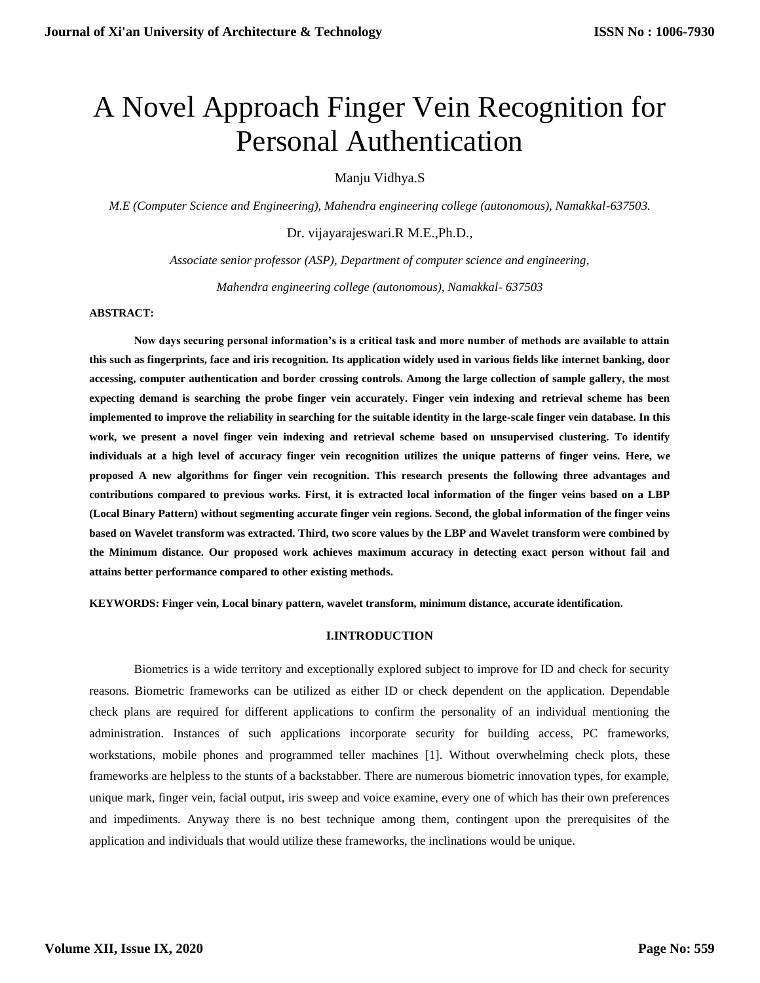# A Novel Approach Finger Vein Recognition for Personal Authentication

Manju Vidhya.S

*M.E (Computer Science and Engineering), Mahendra engineering college (autonomous), Namakkal-637503.*

Dr. vijayarajeswari.R M.E.,Ph.D.,

*Associate senior professor (ASP), Department of computer science and engineering,*

*Mahendra engineering college (autonomous), Namakkal- 637503*

#### **ABSTRACT:**

**Now days securing personal information's is a critical task and more number of methods are available to attain this such as fingerprints, face and iris recognition. Its application widely used in various fields like internet banking, door accessing, computer authentication and border crossing controls. Among the large collection of sample gallery, the most expecting demand is searching the probe finger vein accurately. Finger vein indexing and retrieval scheme has been implemented to improve the reliability in searching for the suitable identity in the large-scale finger vein database. In this work, we present a novel finger vein indexing and retrieval scheme based on unsupervised clustering. To identify individuals at a high level of accuracy finger vein recognition utilizes the unique patterns of finger veins. Here, we proposed A new algorithms for finger vein recognition. This research presents the following three advantages and contributions compared to previous works. First, it is extracted local information of the finger veins based on a LBP (Local Binary Pattern) without segmenting accurate finger vein regions. Second, the global information of the finger veins based on Wavelet transform was extracted. Third, two score values by the LBP and Wavelet transform were combined by the Minimum distance. Our proposed work achieves maximum accuracy in detecting exact person without fail and attains better performance compared to other existing methods.** 

**KEYWORDS: Finger vein, Local binary pattern, wavelet transform, minimum distance, accurate identification.** 

# **I.INTRODUCTION**

Biometrics is a wide territory and exceptionally explored subject to improve for ID and check for security reasons. Biometric frameworks can be utilized as either ID or check dependent on the application. Dependable check plans are required for different applications to confirm the personality of an individual mentioning the administration. Instances of such applications incorporate security for building access, PC frameworks, workstations, mobile phones and programmed teller machines [1]. Without overwhelming check plots, these frameworks are helpless to the stunts of a backstabber. There are numerous biometric innovation types, for example, unique mark, finger vein, facial output, iris sweep and voice examine, every one of which has their own preferences and impediments. Anyway there is no best technique among them, contingent upon the prerequisites of the application and individuals that would utilize these frameworks, the inclinations would be unique.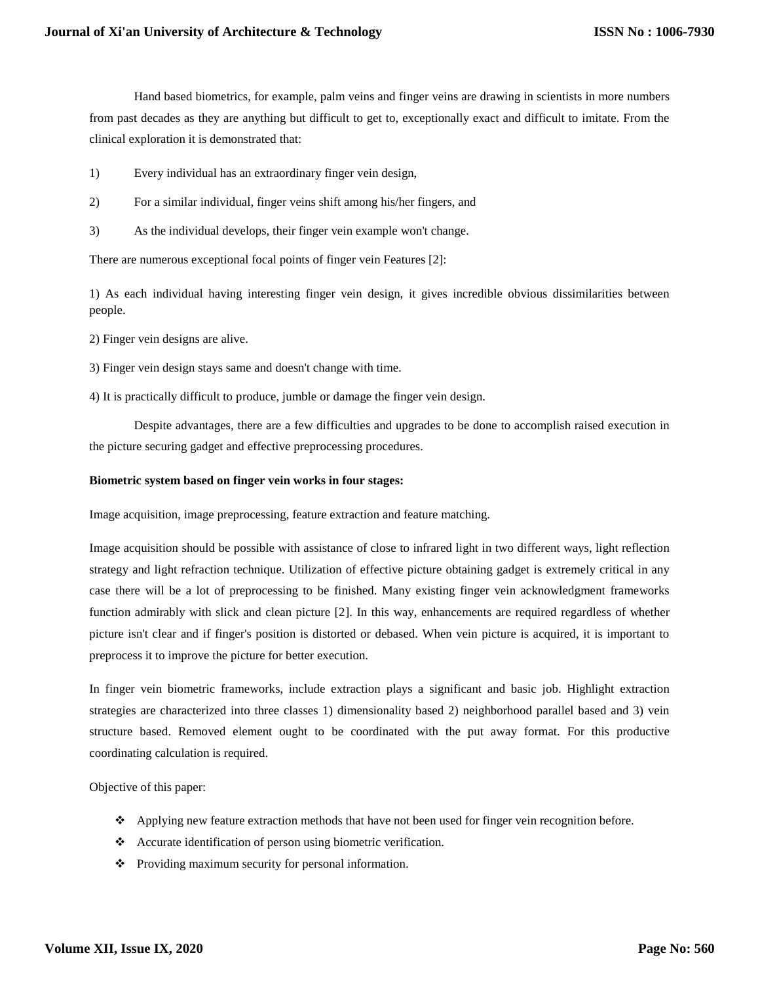Hand based biometrics, for example, palm veins and finger veins are drawing in scientists in more numbers from past decades as they are anything but difficult to get to, exceptionally exact and difficult to imitate. From the clinical exploration it is demonstrated that:

- 1) Every individual has an extraordinary finger vein design,
- 2) For a similar individual, finger veins shift among his/her fingers, and
- 3) As the individual develops, their finger vein example won't change.

There are numerous exceptional focal points of finger vein Features [2]:

1) As each individual having interesting finger vein design, it gives incredible obvious dissimilarities between people.

2) Finger vein designs are alive.

- 3) Finger vein design stays same and doesn't change with time.
- 4) It is practically difficult to produce, jumble or damage the finger vein design.

Despite advantages, there are a few difficulties and upgrades to be done to accomplish raised execution in the picture securing gadget and effective preprocessing procedures.

#### **Biometric system based on finger vein works in four stages:**

Image acquisition, image preprocessing, feature extraction and feature matching.

Image acquisition should be possible with assistance of close to infrared light in two different ways, light reflection strategy and light refraction technique. Utilization of effective picture obtaining gadget is extremely critical in any case there will be a lot of preprocessing to be finished. Many existing finger vein acknowledgment frameworks function admirably with slick and clean picture [2]. In this way, enhancements are required regardless of whether picture isn't clear and if finger's position is distorted or debased. When vein picture is acquired, it is important to preprocess it to improve the picture for better execution.

In finger vein biometric frameworks, include extraction plays a significant and basic job. Highlight extraction strategies are characterized into three classes 1) dimensionality based 2) neighborhood parallel based and 3) vein structure based. Removed element ought to be coordinated with the put away format. For this productive coordinating calculation is required.

Objective of this paper:

- Applying new feature extraction methods that have not been used for finger vein recognition before.
- Accurate identification of person using biometric verification.
- Providing maximum security for personal information.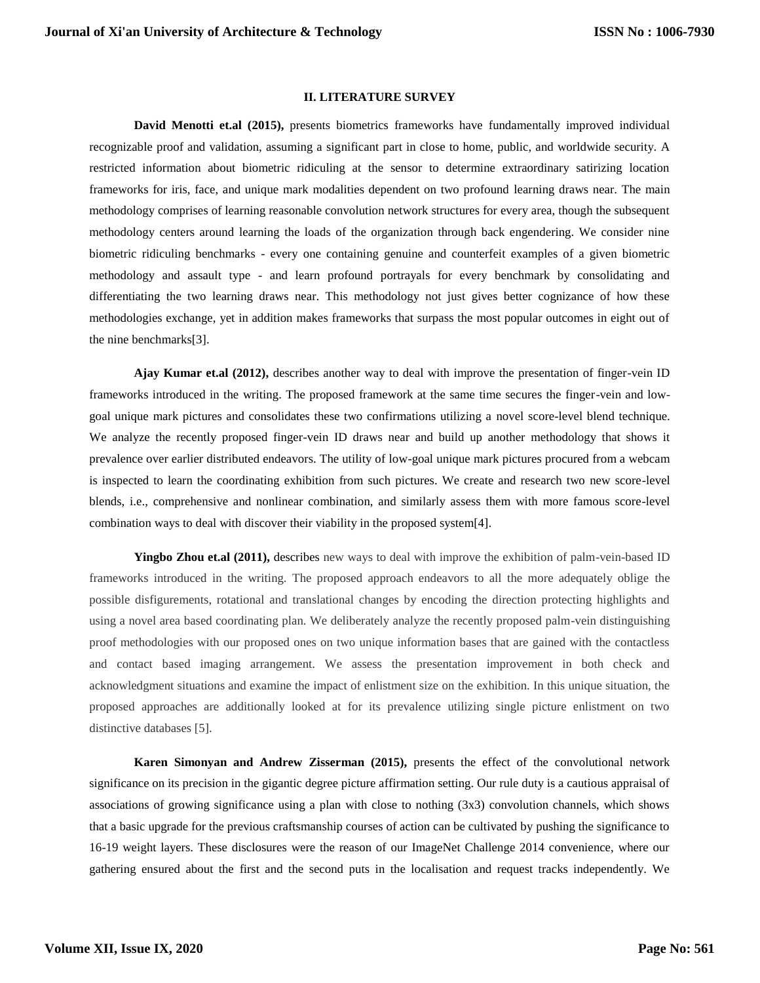#### **II. LITERATURE SURVEY**

**David Menotti et.al (2015),** presents biometrics frameworks have fundamentally improved individual recognizable proof and validation, assuming a significant part in close to home, public, and worldwide security. A restricted information about biometric ridiculing at the sensor to determine extraordinary satirizing location frameworks for iris, face, and unique mark modalities dependent on two profound learning draws near. The main methodology comprises of learning reasonable convolution network structures for every area, though the subsequent methodology centers around learning the loads of the organization through back engendering. We consider nine biometric ridiculing benchmarks - every one containing genuine and counterfeit examples of a given biometric methodology and assault type - and learn profound portrayals for every benchmark by consolidating and differentiating the two learning draws near. This methodology not just gives better cognizance of how these methodologies exchange, yet in addition makes frameworks that surpass the most popular outcomes in eight out of the nine benchmarks[3].

**Ajay Kumar et.al (2012),** describes another way to deal with improve the presentation of finger-vein ID frameworks introduced in the writing. The proposed framework at the same time secures the finger-vein and lowgoal unique mark pictures and consolidates these two confirmations utilizing a novel score-level blend technique. We analyze the recently proposed finger-vein ID draws near and build up another methodology that shows it prevalence over earlier distributed endeavors. The utility of low-goal unique mark pictures procured from a webcam is inspected to learn the coordinating exhibition from such pictures. We create and research two new score-level blends, i.e., comprehensive and nonlinear combination, and similarly assess them with more famous score-level combination ways to deal with discover their viability in the proposed system[4].

**Yingbo Zhou et.al (2011),** describes new ways to deal with improve the exhibition of palm-vein-based ID frameworks introduced in the writing. The proposed approach endeavors to all the more adequately oblige the possible disfigurements, rotational and translational changes by encoding the direction protecting highlights and using a novel area based coordinating plan. We deliberately analyze the recently proposed palm-vein distinguishing proof methodologies with our proposed ones on two unique information bases that are gained with the contactless and contact based imaging arrangement. We assess the presentation improvement in both check and acknowledgment situations and examine the impact of enlistment size on the exhibition. In this unique situation, the proposed approaches are additionally looked at for its prevalence utilizing single picture enlistment on two distinctive databases [5].

**Karen Simonyan and Andrew Zisserman (2015),** presents the effect of the convolutional network significance on its precision in the gigantic degree picture affirmation setting. Our rule duty is a cautious appraisal of associations of growing significance using a plan with close to nothing (3x3) convolution channels, which shows that a basic upgrade for the previous craftsmanship courses of action can be cultivated by pushing the significance to 16-19 weight layers. These disclosures were the reason of our ImageNet Challenge 2014 convenience, where our gathering ensured about the first and the second puts in the localisation and request tracks independently. We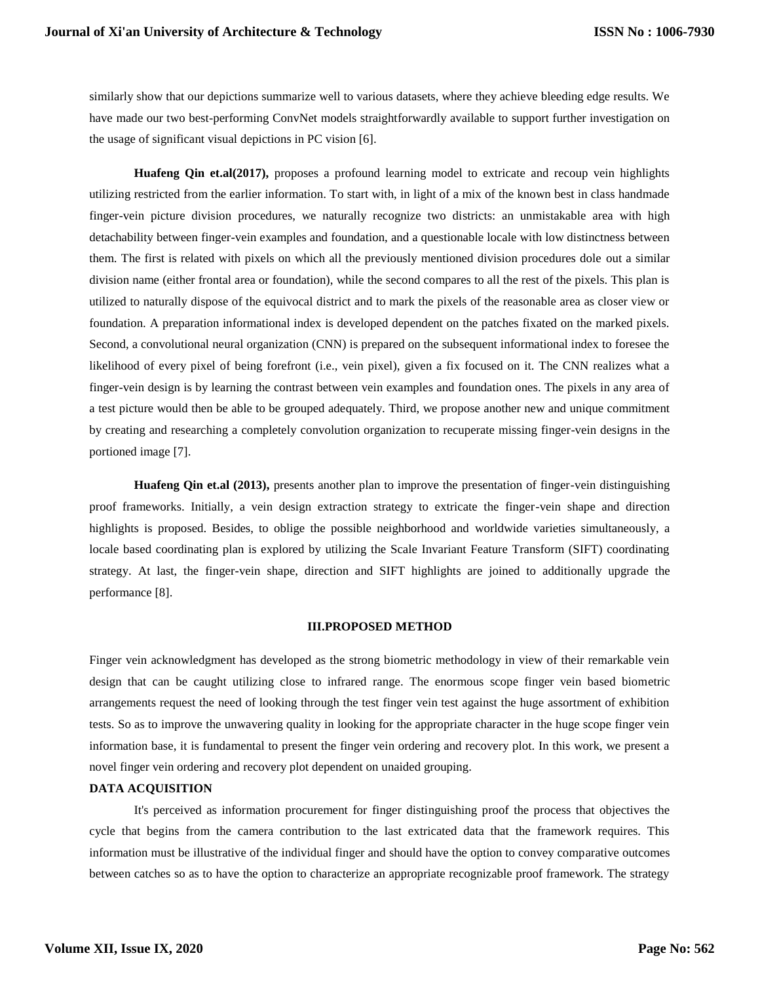similarly show that our depictions summarize well to various datasets, where they achieve bleeding edge results. We have made our two best-performing ConvNet models straightforwardly available to support further investigation on the usage of significant visual depictions in PC vision [6].

**Huafeng Qin et.al(2017),** proposes a profound learning model to extricate and recoup vein highlights utilizing restricted from the earlier information. To start with, in light of a mix of the known best in class handmade finger-vein picture division procedures, we naturally recognize two districts: an unmistakable area with high detachability between finger-vein examples and foundation, and a questionable locale with low distinctness between them. The first is related with pixels on which all the previously mentioned division procedures dole out a similar division name (either frontal area or foundation), while the second compares to all the rest of the pixels. This plan is utilized to naturally dispose of the equivocal district and to mark the pixels of the reasonable area as closer view or foundation. A preparation informational index is developed dependent on the patches fixated on the marked pixels. Second, a convolutional neural organization (CNN) is prepared on the subsequent informational index to foresee the likelihood of every pixel of being forefront (i.e., vein pixel), given a fix focused on it. The CNN realizes what a finger-vein design is by learning the contrast between vein examples and foundation ones. The pixels in any area of a test picture would then be able to be grouped adequately. Third, we propose another new and unique commitment by creating and researching a completely convolution organization to recuperate missing finger-vein designs in the portioned image [7].

**Huafeng Qin et.al (2013),** presents another plan to improve the presentation of finger-vein distinguishing proof frameworks. Initially, a vein design extraction strategy to extricate the finger-vein shape and direction highlights is proposed. Besides, to oblige the possible neighborhood and worldwide varieties simultaneously, a locale based coordinating plan is explored by utilizing the Scale Invariant Feature Transform (SIFT) coordinating strategy. At last, the finger-vein shape, direction and SIFT highlights are joined to additionally upgrade the performance [8].

#### **III.PROPOSED METHOD**

Finger vein acknowledgment has developed as the strong biometric methodology in view of their remarkable vein design that can be caught utilizing close to infrared range. The enormous scope finger vein based biometric arrangements request the need of looking through the test finger vein test against the huge assortment of exhibition tests. So as to improve the unwavering quality in looking for the appropriate character in the huge scope finger vein information base, it is fundamental to present the finger vein ordering and recovery plot. In this work, we present a novel finger vein ordering and recovery plot dependent on unaided grouping.

#### **DATA ACQUISITION**

It's perceived as information procurement for finger distinguishing proof the process that objectives the cycle that begins from the camera contribution to the last extricated data that the framework requires. This information must be illustrative of the individual finger and should have the option to convey comparative outcomes between catches so as to have the option to characterize an appropriate recognizable proof framework. The strategy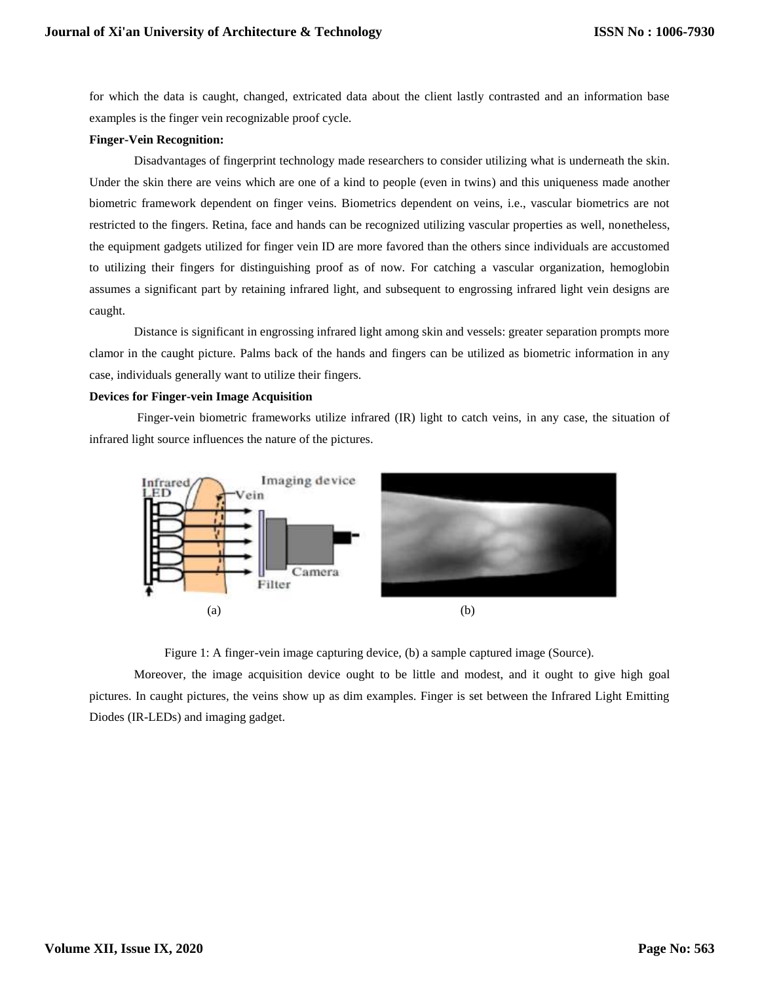for which the data is caught, changed, extricated data about the client lastly contrasted and an information base examples is the finger vein recognizable proof cycle.

#### **Finger-Vein Recognition:**

Disadvantages of fingerprint technology made researchers to consider utilizing what is underneath the skin. Under the skin there are veins which are one of a kind to people (even in twins) and this uniqueness made another biometric framework dependent on finger veins. Biometrics dependent on veins, i.e., vascular biometrics are not restricted to the fingers. Retina, face and hands can be recognized utilizing vascular properties as well, nonetheless, the equipment gadgets utilized for finger vein ID are more favored than the others since individuals are accustomed to utilizing their fingers for distinguishing proof as of now. For catching a vascular organization, hemoglobin assumes a significant part by retaining infrared light, and subsequent to engrossing infrared light vein designs are caught.

Distance is significant in engrossing infrared light among skin and vessels: greater separation prompts more clamor in the caught picture. Palms back of the hands and fingers can be utilized as biometric information in any case, individuals generally want to utilize their fingers.

#### **Devices for Finger-vein Image Acquisition**

Finger-vein biometric frameworks utilize infrared (IR) light to catch veins, in any case, the situation of infrared light source influences the nature of the pictures.



Figure 1: A finger-vein image capturing device, (b) a sample captured image (Source).

Moreover, the image acquisition device ought to be little and modest, and it ought to give high goal pictures. In caught pictures, the veins show up as dim examples. Finger is set between the Infrared Light Emitting Diodes (IR-LEDs) and imaging gadget.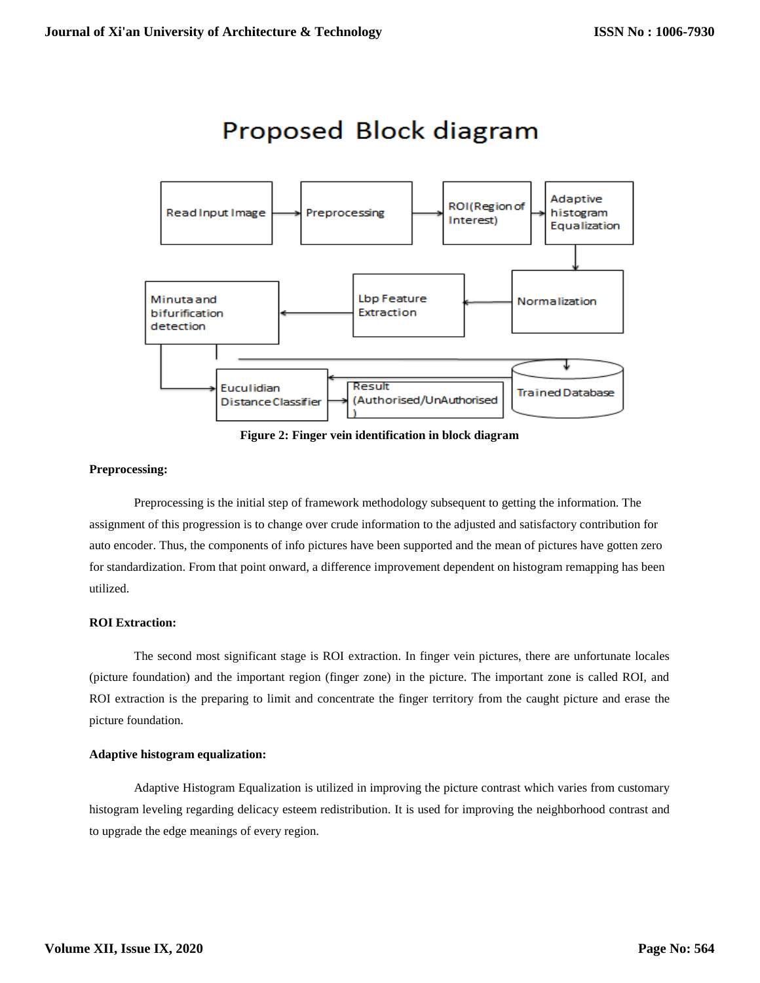# Proposed Block diagram



**Figure 2: Finger vein identification in block diagram**

# **Preprocessing:**

Preprocessing is the initial step of framework methodology subsequent to getting the information. The assignment of this progression is to change over crude information to the adjusted and satisfactory contribution for auto encoder. Thus, the components of info pictures have been supported and the mean of pictures have gotten zero for standardization. From that point onward, a difference improvement dependent on histogram remapping has been utilized.

# **ROI Extraction:**

The second most significant stage is ROI extraction. In finger vein pictures, there are unfortunate locales (picture foundation) and the important region (finger zone) in the picture. The important zone is called ROI, and ROI extraction is the preparing to limit and concentrate the finger territory from the caught picture and erase the picture foundation.

# **Adaptive histogram equalization:**

Adaptive Histogram Equalization is utilized in improving the picture contrast which varies from customary histogram leveling regarding delicacy esteem redistribution. It is used for improving the neighborhood contrast and to upgrade the edge meanings of every region.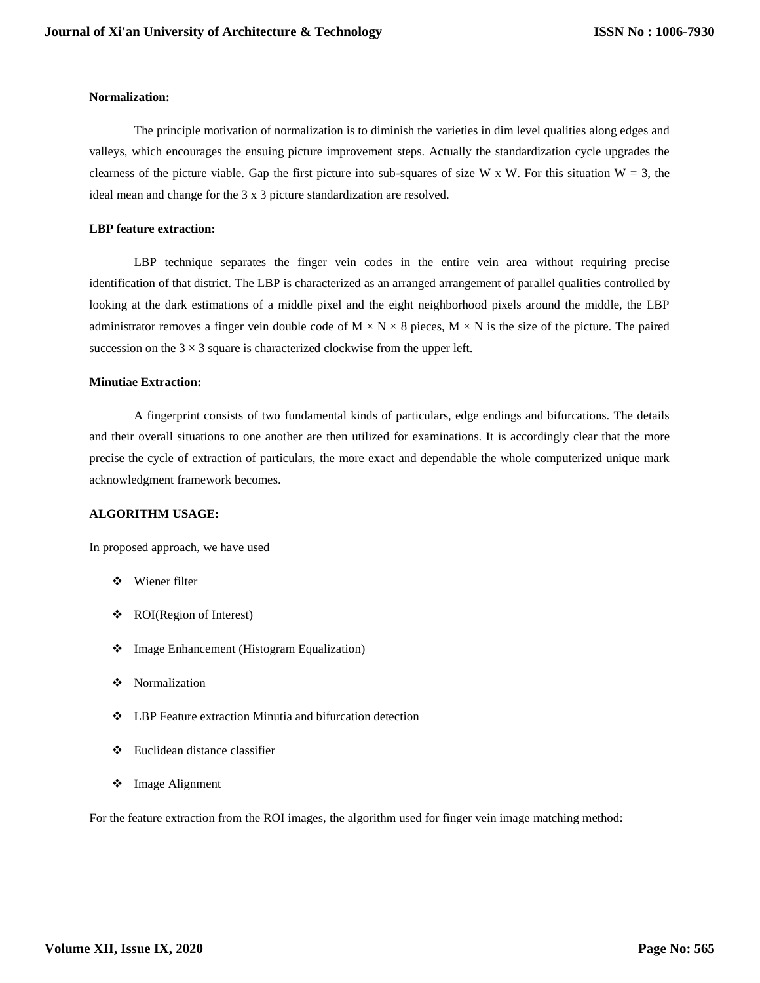#### **Normalization:**

The principle motivation of normalization is to diminish the varieties in dim level qualities along edges and valleys, which encourages the ensuing picture improvement steps. Actually the standardization cycle upgrades the clearness of the picture viable. Gap the first picture into sub-squares of size W x W. For this situation  $W = 3$ , the ideal mean and change for the 3 x 3 picture standardization are resolved.

# **LBP feature extraction:**

LBP technique separates the finger vein codes in the entire vein area without requiring precise identification of that district. The LBP is characterized as an arranged arrangement of parallel qualities controlled by looking at the dark estimations of a middle pixel and the eight neighborhood pixels around the middle, the LBP administrator removes a finger vein double code of  $M \times N \times 8$  pieces,  $M \times N$  is the size of the picture. The paired succession on the  $3 \times 3$  square is characterized clockwise from the upper left.

# **Minutiae Extraction:**

A fingerprint consists of two fundamental kinds of particulars, edge endings and bifurcations. The details and their overall situations to one another are then utilized for examinations. It is accordingly clear that the more precise the cycle of extraction of particulars, the more exact and dependable the whole computerized unique mark acknowledgment framework becomes.

# **ALGORITHM USAGE:**

In proposed approach, we have used

- Wiener filter
- ROI(Region of Interest)
- **\*** Image Enhancement (Histogram Equalization)
- Normalization
- LBP Feature extraction Minutia and bifurcation detection
- Euclidean distance classifier
- **\*** Image Alignment

For the feature extraction from the ROI images, the algorithm used for finger vein image matching method: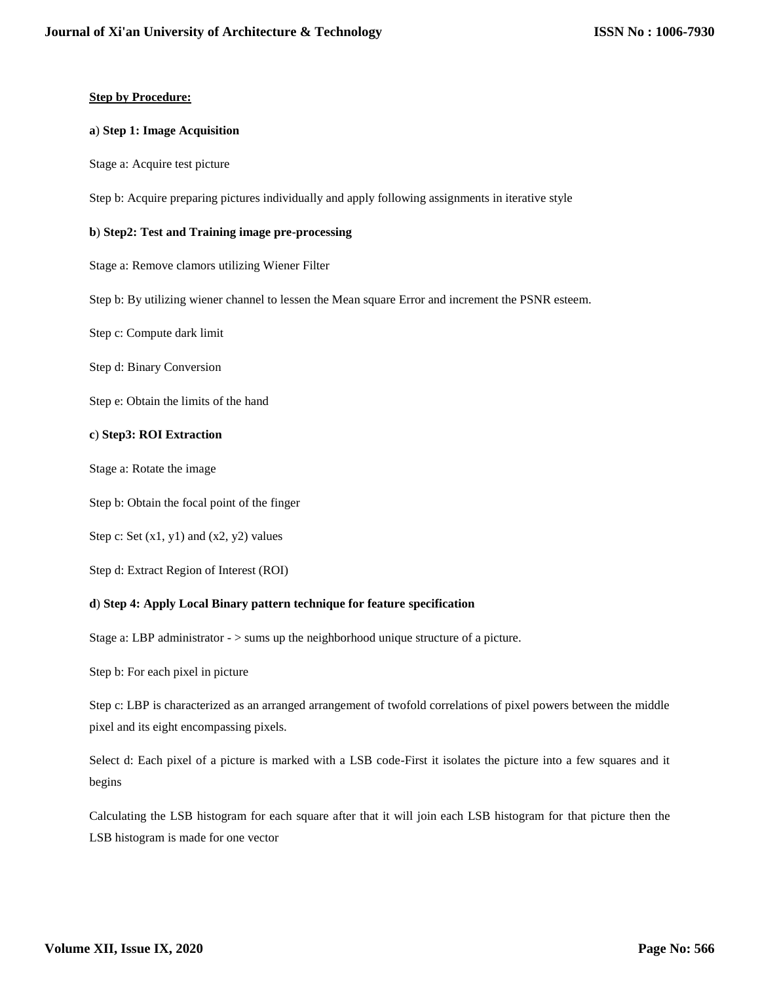# **Step by Procedure:**

#### **a**) **Step 1: Image Acquisition**

Stage a: Acquire test picture

Step b: Acquire preparing pictures individually and apply following assignments in iterative style

# **b**) **Step2: Test and Training image pre-processing**

Stage a: Remove clamors utilizing Wiener Filter

Step b: By utilizing wiener channel to lessen the Mean square Error and increment the PSNR esteem.

Step c: Compute dark limit

Step d: Binary Conversion

Step e: Obtain the limits of the hand

# **c**) **Step3: ROI Extraction**

Stage a: Rotate the image

Step b: Obtain the focal point of the finger

Step c: Set  $(x1, y1)$  and  $(x2, y2)$  values

Step d: Extract Region of Interest (ROI)

#### **d**) **Step 4: Apply Local Binary pattern technique for feature specification**

Stage a: LBP administrator - > sums up the neighborhood unique structure of a picture.

Step b: For each pixel in picture

Step c: LBP is characterized as an arranged arrangement of twofold correlations of pixel powers between the middle pixel and its eight encompassing pixels.

Select d: Each pixel of a picture is marked with a LSB code-First it isolates the picture into a few squares and it begins

Calculating the LSB histogram for each square after that it will join each LSB histogram for that picture then the LSB histogram is made for one vector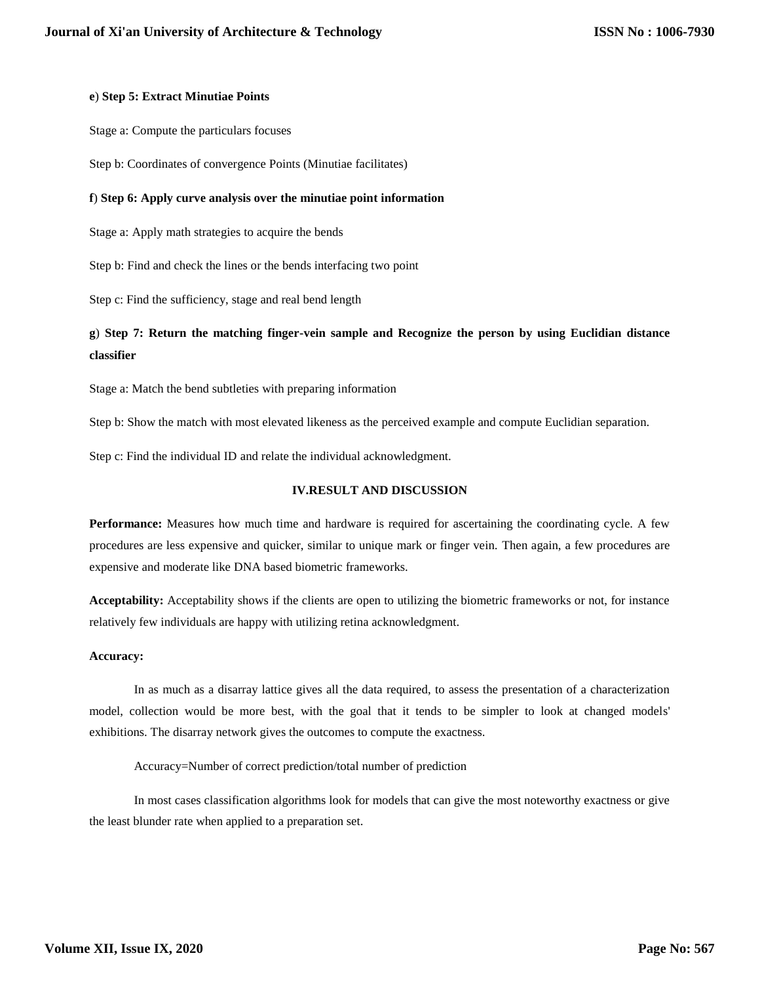# **e**) **Step 5: Extract Minutiae Points**

Stage a: Compute the particulars focuses

Step b: Coordinates of convergence Points (Minutiae facilitates)

# **f**) **Step 6: Apply curve analysis over the minutiae point information**

Stage a: Apply math strategies to acquire the bends

Step b: Find and check the lines or the bends interfacing two point

Step c: Find the sufficiency, stage and real bend length

# **g**) **Step 7: Return the matching finger-vein sample and Recognize the person by using Euclidian distance classifier**

Stage a: Match the bend subtleties with preparing information

Step b: Show the match with most elevated likeness as the perceived example and compute Euclidian separation.

Step c: Find the individual ID and relate the individual acknowledgment.

# **IV.RESULT AND DISCUSSION**

**Performance:** Measures how much time and hardware is required for ascertaining the coordinating cycle. A few procedures are less expensive and quicker, similar to unique mark or finger vein. Then again, a few procedures are expensive and moderate like DNA based biometric frameworks.

**Acceptability:** Acceptability shows if the clients are open to utilizing the biometric frameworks or not, for instance relatively few individuals are happy with utilizing retina acknowledgment.

#### **Accuracy:**

In as much as a disarray lattice gives all the data required, to assess the presentation of a characterization model, collection would be more best, with the goal that it tends to be simpler to look at changed models' exhibitions. The disarray network gives the outcomes to compute the exactness.

Accuracy=Number of correct prediction/total number of prediction

In most cases classification algorithms look for models that can give the most noteworthy exactness or give the least blunder rate when applied to a preparation set.